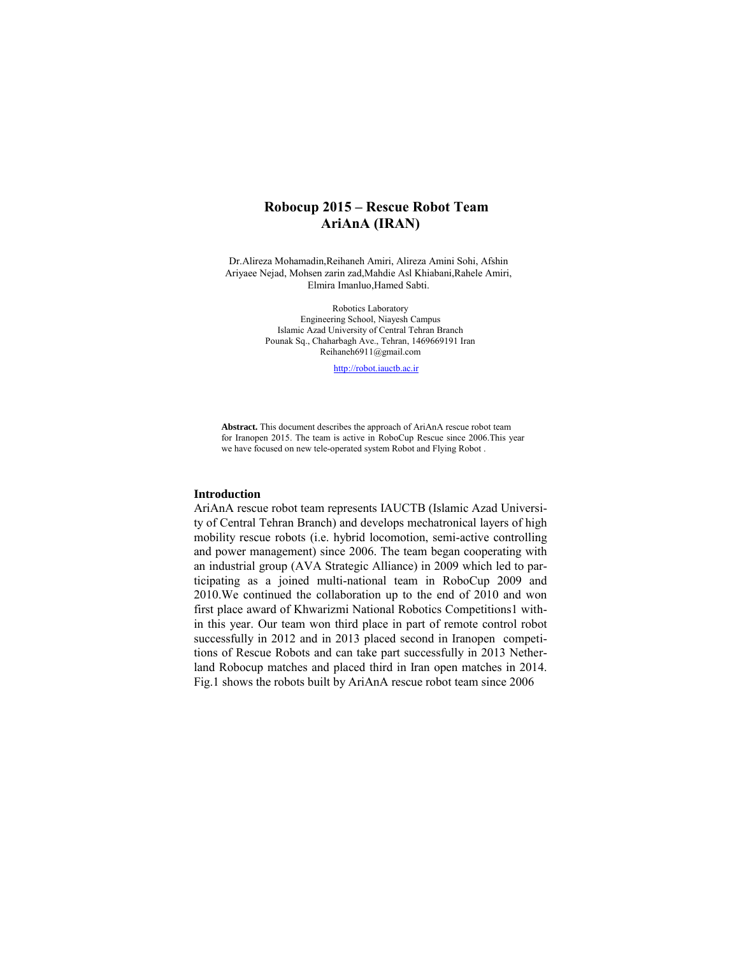# **Robocup 2015 – Rescue Robot Team AriAnA (IRAN)**

Dr.Alireza Mohamadin,Reihaneh Amiri, Alireza Amini Sohi, Afshin Ariyaee Nejad, Mohsen zarin zad,Mahdie Asl Khiabani,Rahele Amiri, Elmira Imanluo,Hamed Sabti.

> Robotics Laboratory Engineering School, Niayesh Campus Islamic Azad University of Central Tehran Branch Pounak Sq., Chaharbagh Ave., Tehran, 1469669191 Iran Reihaneh6911@gmail.com

> > http://robot.iauctb.ac.ir

**Abstract.** This document describes the approach of AriAnA rescue robot team for Iranopen 2015. The team is active in RoboCup Rescue since 2006.This year we have focused on new tele-operated system Robot and Flying Robot .

## **Introduction**

AriAnA rescue robot team represents IAUCTB (Islamic Azad University of Central Tehran Branch) and develops mechatronical layers of high mobility rescue robots (i.e. hybrid locomotion, semi-active controlling and power management) since 2006. The team began cooperating with an industrial group (AVA Strategic Alliance) in 2009 which led to participating as a joined multi-national team in RoboCup 2009 and 2010.We continued the collaboration up to the end of 2010 and won first place award of Khwarizmi National Robotics Competitions1 within this year. Our team won third place in part of remote control robot successfully in 2012 and in 2013 placed second in Iranopen competitions of Rescue Robots and can take part successfully in 2013 Netherland Robocup matches and placed third in Iran open matches in 2014. Fig.1 shows the robots built by AriAnA rescue robot team since 2006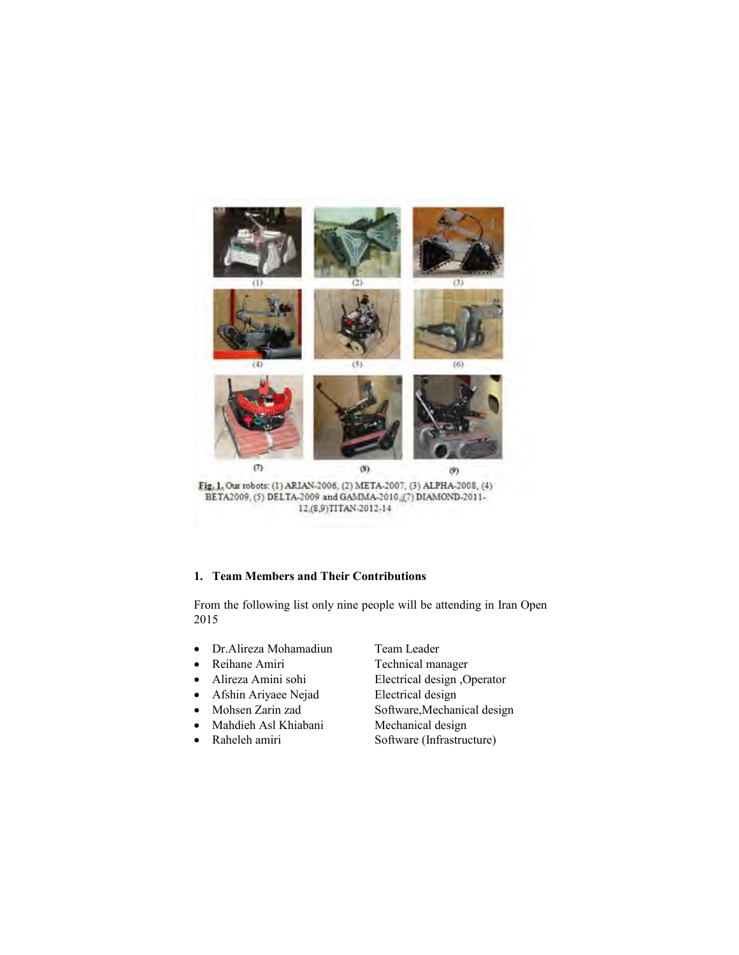

# **1. Team Members and Their Contributions**

From the following list only nine people will be attending in Iran Open 2015

- Dr.Alireza Mohamadiun Team Leader
- 
- 
- Afshin Ariyaee Nejad Electrical design
- 
- Mahdieh Asl Khiabani Mechanical design
- 

- Reihane Amiri Technical manager x Alireza Amini sohi Electrical design ,Operator
- Mohsen Zarin zad Software,Mechanical design
- Raheleh amiri Software (Infrastructure)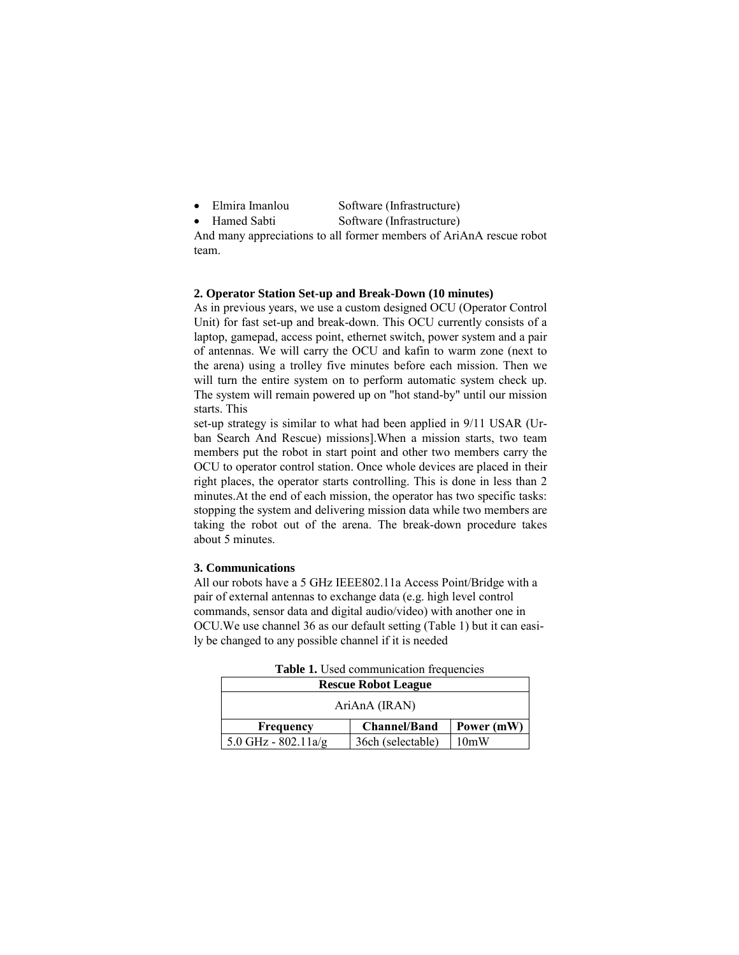| Elmira Imanlou | Software (Infrastructure) |
|----------------|---------------------------|
|                |                           |

• Hamed Sabti Software (Infrastructure)

And many appreciations to all former members of AriAnA rescue robot team.

#### **2. Operator Station Set-up and Break-Down (10 minutes)**

As in previous years, we use a custom designed OCU (Operator Control Unit) for fast set-up and break-down. This OCU currently consists of a laptop, gamepad, access point, ethernet switch, power system and a pair of antennas. We will carry the OCU and kafin to warm zone (next to the arena) using a trolley five minutes before each mission. Then we will turn the entire system on to perform automatic system check up. The system will remain powered up on "hot stand-by" until our mission starts. This

set-up strategy is similar to what had been applied in 9/11 USAR (Urban Search And Rescue) missions].When a mission starts, two team members put the robot in start point and other two members carry the OCU to operator control station. Once whole devices are placed in their right places, the operator starts controlling. This is done in less than 2 minutes.At the end of each mission, the operator has two specific tasks: stopping the system and delivering mission data while two members are taking the robot out of the arena. The break-down procedure takes about 5 minutes.

#### **3. Communications**

All our robots have a 5 GHz IEEE802.11a Access Point/Bridge with a pair of external antennas to exchange data (e.g. high level control commands, sensor data and digital audio/video) with another one in OCU.We use channel 36 as our default setting (Table 1) but it can easily be changed to any possible channel if it is needed

| <b>Rescue Robot League</b> |                     |            |  |  |  |  |
|----------------------------|---------------------|------------|--|--|--|--|
| AriAnA (IRAN)              |                     |            |  |  |  |  |
| Frequency                  | <b>Channel/Band</b> | Power (mW) |  |  |  |  |
| 5.0 GHz - $802.11a/g$      | 36ch (selectable)   | 10mW       |  |  |  |  |

**Table 1.** Used communication frequencies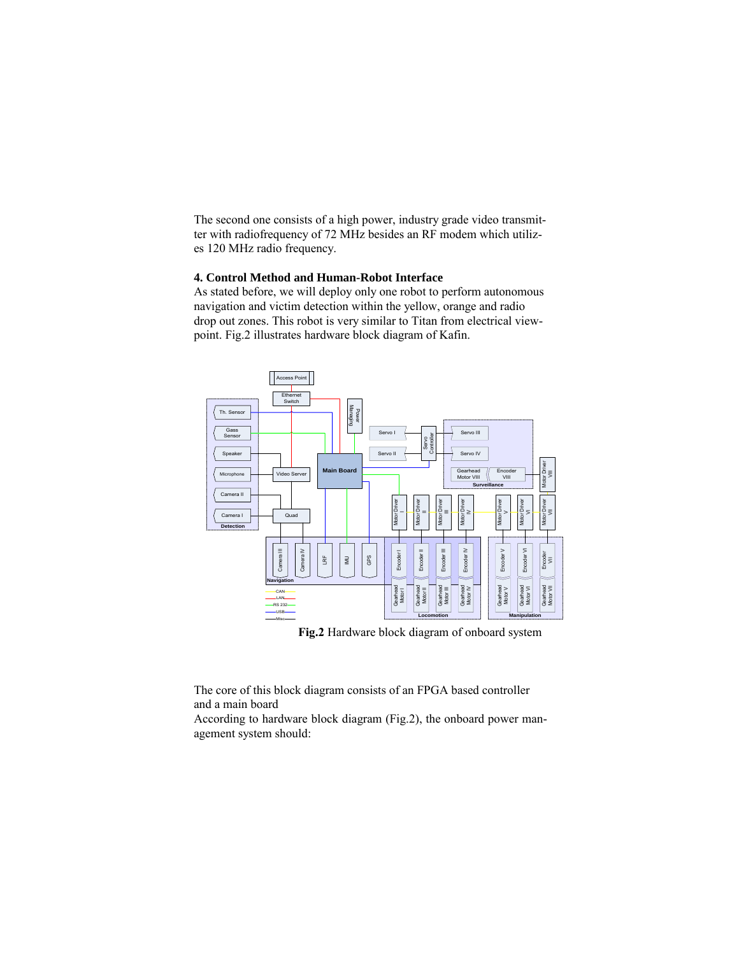The second one consists of a high power, industry grade video transmitter with radiofrequency of 72 MHz besides an RF modem which utilizes 120 MHz radio frequency.

# **4. Control Method and Human-Robot Interface**

As stated before, we will deploy only one robot to perform autonomous navigation and victim detection within the yellow, orange and radio drop out zones. This robot is very similar to Titan from electrical viewpoint. Fig.2 illustrates hardware block diagram of Kafin.



**Fig.2** Hardware block diagram of onboard system

The core of this block diagram consists of an FPGA based controller and a main board

According to hardware block diagram (Fig.2), the onboard power management system should: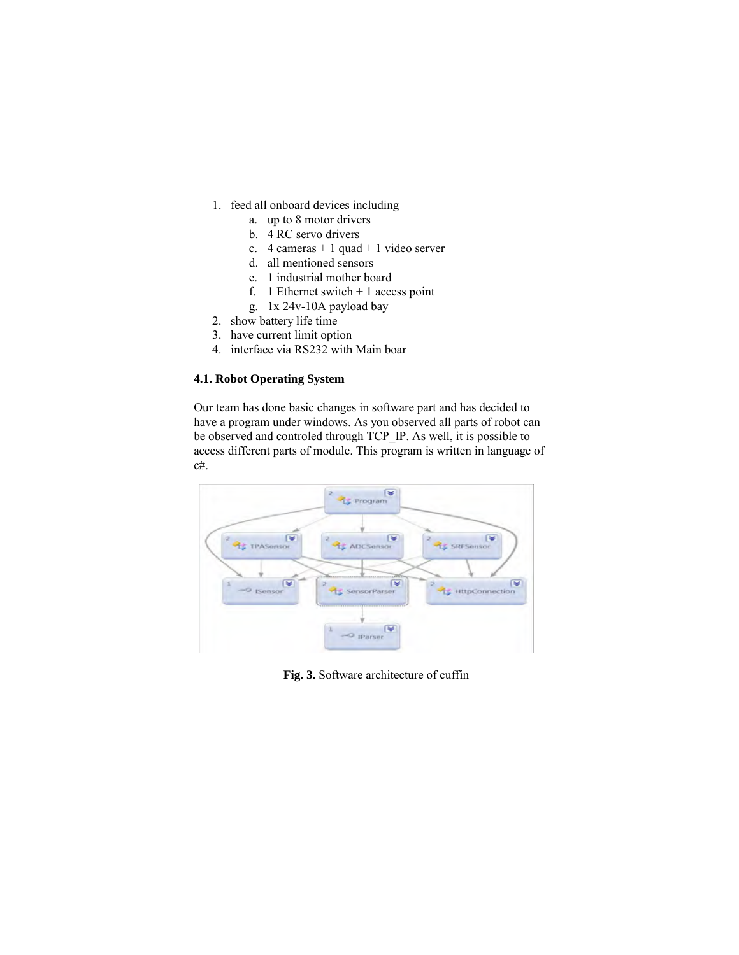- 1. feed all onboard devices including
	- a. up to 8 motor drivers
	- b. 4 RC servo drivers
	- c.  $4$  cameras  $+ 1$  quad  $+ 1$  video server
	- d. all mentioned sensors
	- e. 1 industrial mother board
	- f. 1 Ethernet switch  $+1$  access point
	- g. 1x 24v-10A payload bay
- 2. show battery life time
- 3. have current limit option
- 4. interface via RS232 with Main boar

# **4.1. Robot Operating System**

Our team has done basic changes in software part and has decided to have a program under windows. As you observed all parts of robot can be observed and controled through TCP\_IP. As well, it is possible to access different parts of module. This program is written in language of c#.



**Fig. 3.** Software architecture of cuffin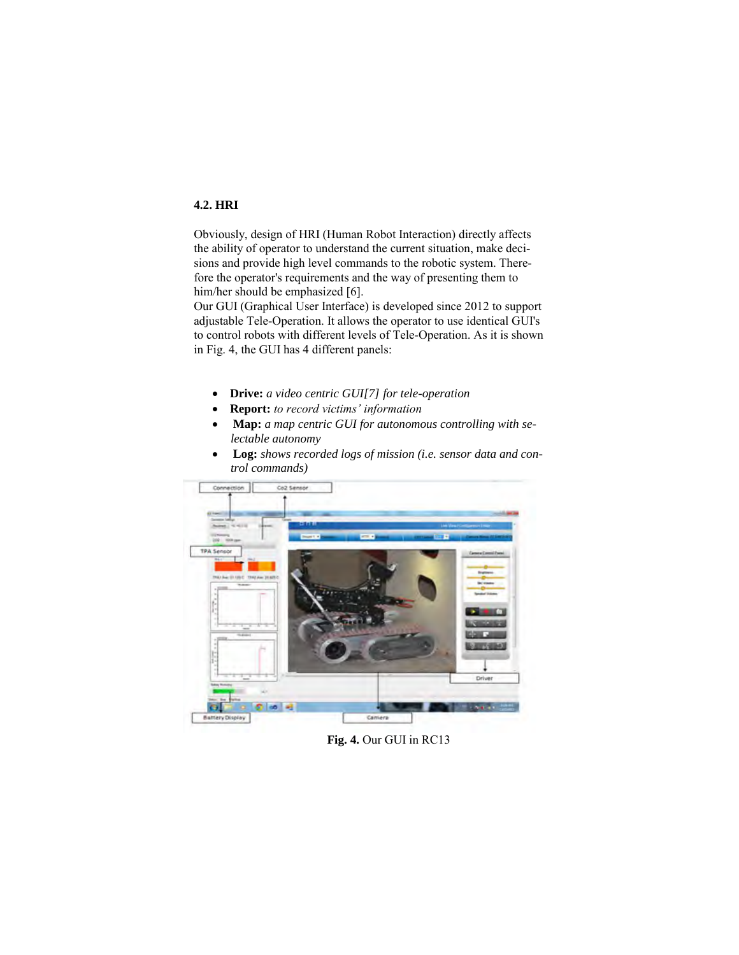# **4.2. HRI**

Obviously, design of HRI (Human Robot Interaction) directly affects the ability of operator to understand the current situation, make decisions and provide high level commands to the robotic system. Therefore the operator's requirements and the way of presenting them to him/her should be emphasized [6].

Our GUI (Graphical User Interface) is developed since 2012 to support adjustable Tele-Operation. It allows the operator to use identical GUI's to control robots with different levels of Tele-Operation. As it is shown in Fig. 4, the GUI has 4 different panels:

- x **Drive:** *a video centric GUI[7] for tele-operation*
- x **Report:** *to record victims' information*
- x **Map:** *a map centric GUI for autonomous controlling with selectable autonomy*
- x **Log:** *shows recorded logs of mission (i.e. sensor data and control commands)*



**Fig. 4.** Our GUI in RC13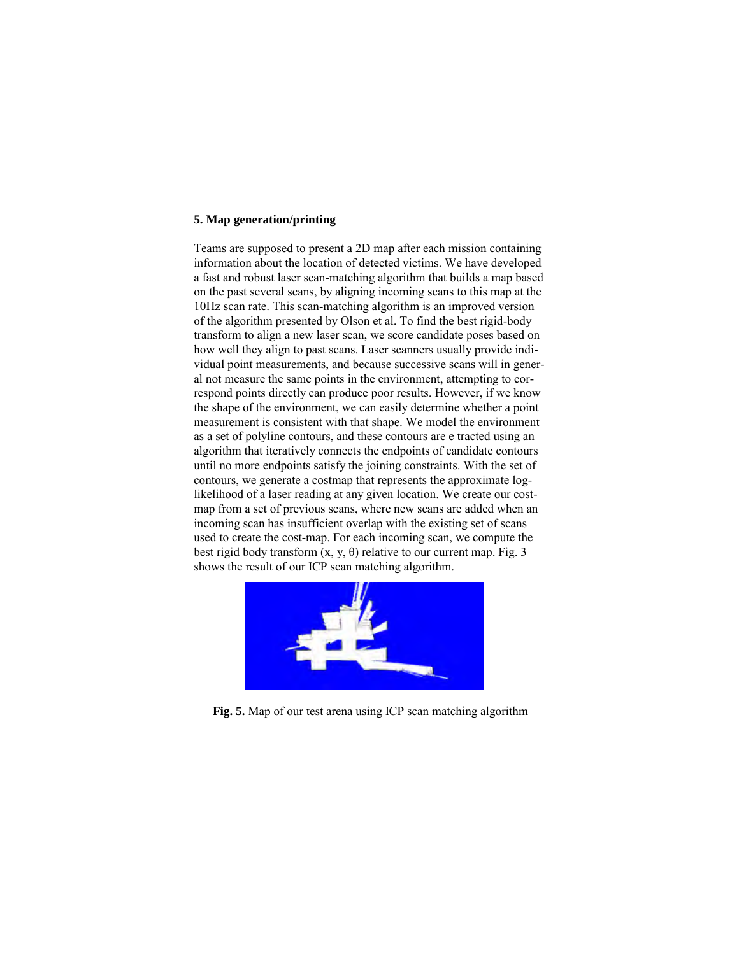#### **5. Map generation/printing**

Teams are supposed to present a 2D map after each mission containing information about the location of detected victims. We have developed a fast and robust laser scan-matching algorithm that builds a map based on the past several scans, by aligning incoming scans to this map at the 10Hz scan rate. This scan-matching algorithm is an improved version of the algorithm presented by Olson et al. To find the best rigid-body transform to align a new laser scan, we score candidate poses based on how well they align to past scans. Laser scanners usually provide individual point measurements, and because successive scans will in general not measure the same points in the environment, attempting to correspond points directly can produce poor results. However, if we know the shape of the environment, we can easily determine whether a point measurement is consistent with that shape. We model the environment as a set of polyline contours, and these contours are e tracted using an algorithm that iteratively connects the endpoints of candidate contours until no more endpoints satisfy the joining constraints. With the set of contours, we generate a costmap that represents the approximate loglikelihood of a laser reading at any given location. We create our costmap from a set of previous scans, where new scans are added when an incoming scan has insufficient overlap with the existing set of scans used to create the cost-map. For each incoming scan, we compute the best rigid body transform  $(x, y, \theta)$  relative to our current map. Fig. 3 shows the result of our ICP scan matching algorithm.



**Fig. 5.** Map of our test arena using ICP scan matching algorithm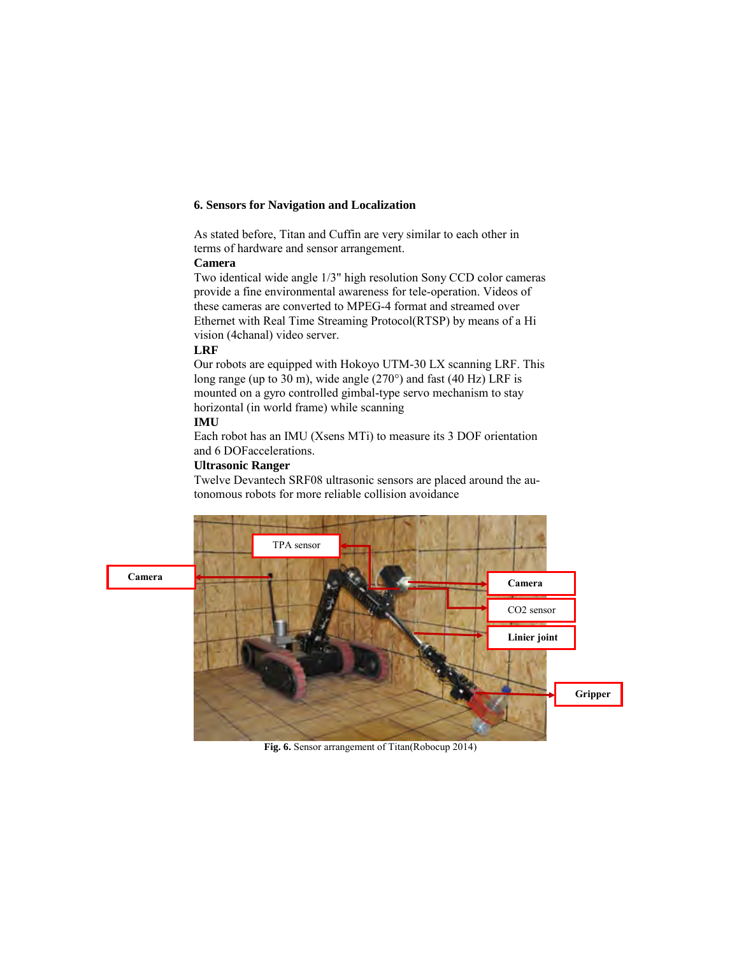## **6. Sensors for Navigation and Localization**

As stated before, Titan and Cuffin are very similar to each other in terms of hardware and sensor arrangement.

#### **Camera**

Two identical wide angle 1/3" high resolution Sony CCD color cameras provide a fine environmental awareness for tele-operation. Videos of these cameras are converted to MPEG-4 format and streamed over Ethernet with Real Time Streaming Protocol(RTSP) by means of a Hi vision (4chanal) video server.

# **LRF**

Our robots are equipped with Hokoyo UTM-30 LX scanning LRF. This long range (up to 30 m), wide angle (270°) and fast (40 Hz) LRF is mounted on a gyro controlled gimbal-type servo mechanism to stay horizontal (in world frame) while scanning

#### **IMU**

Each robot has an IMU (Xsens MTi) to measure its 3 DOF orientation and 6 DOFaccelerations.

# **Ultrasonic Ranger**

Twelve Devantech SRF08 ultrasonic sensors are placed around the autonomous robots for more reliable collision avoidance



**Fig. 6.** Sensor arrangement of Titan(Robocup 2014)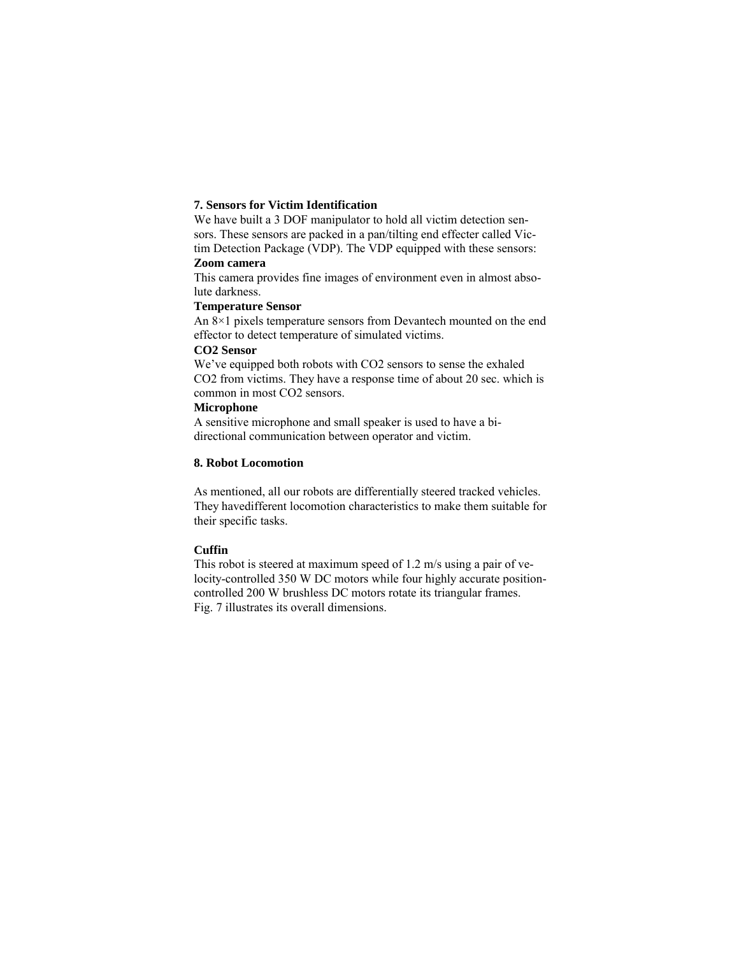## **7. Sensors for Victim Identification**

We have built a 3 DOF manipulator to hold all victim detection sensors. These sensors are packed in a pan/tilting end effecter called Victim Detection Package (VDP). The VDP equipped with these sensors:

#### **Zoom camera**

This camera provides fine images of environment even in almost absolute darkness.

## **Temperature Sensor**

An 8×1 pixels temperature sensors from Devantech mounted on the end effector to detect temperature of simulated victims.

## **CO2 Sensor**

We've equipped both robots with CO2 sensors to sense the exhaled CO2 from victims. They have a response time of about 20 sec. which is common in most CO2 sensors.

#### **Microphone**

A sensitive microphone and small speaker is used to have a bidirectional communication between operator and victim.

# **8. Robot Locomotion**

As mentioned, all our robots are differentially steered tracked vehicles. They havedifferent locomotion characteristics to make them suitable for their specific tasks.

# **Cuffin**

This robot is steered at maximum speed of 1.2 m/s using a pair of velocity-controlled 350 W DC motors while four highly accurate positioncontrolled 200 W brushless DC motors rotate its triangular frames. Fig. 7 illustrates its overall dimensions.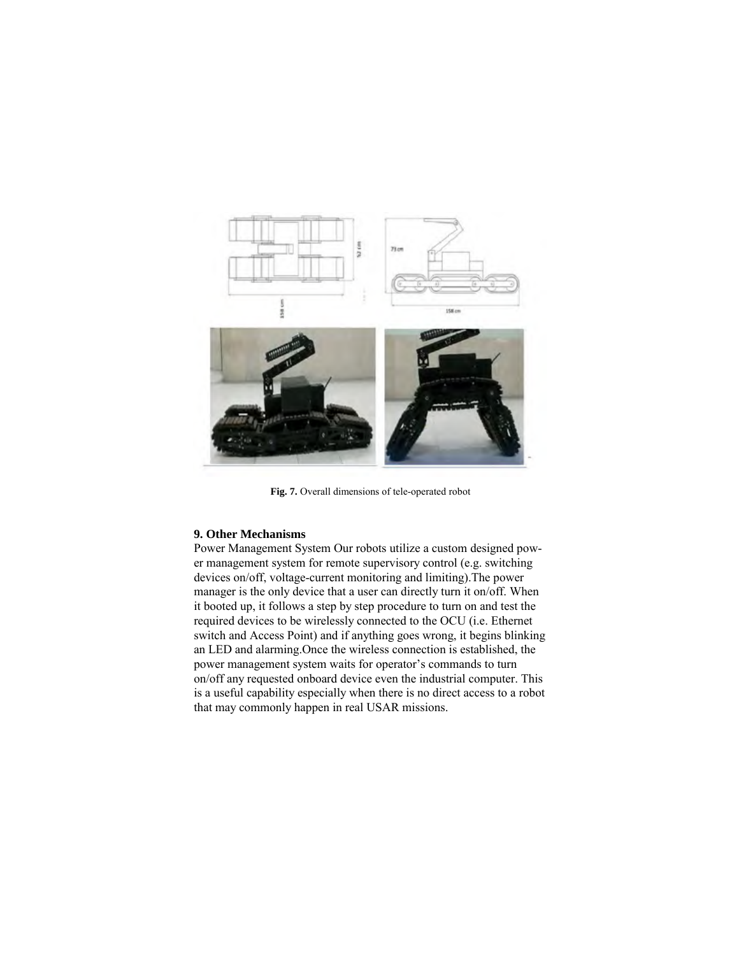

**Fig. 7.** Overall dimensions of tele-operated robot

#### **9. Other Mechanisms**

Power Management System Our robots utilize a custom designed power management system for remote supervisory control (e.g. switching devices on/off, voltage-current monitoring and limiting).The power manager is the only device that a user can directly turn it on/off. When it booted up, it follows a step by step procedure to turn on and test the required devices to be wirelessly connected to the OCU (i.e. Ethernet switch and Access Point) and if anything goes wrong, it begins blinking an LED and alarming.Once the wireless connection is established, the power management system waits for operator's commands to turn on/off any requested onboard device even the industrial computer. This is a useful capability especially when there is no direct access to a robot that may commonly happen in real USAR missions.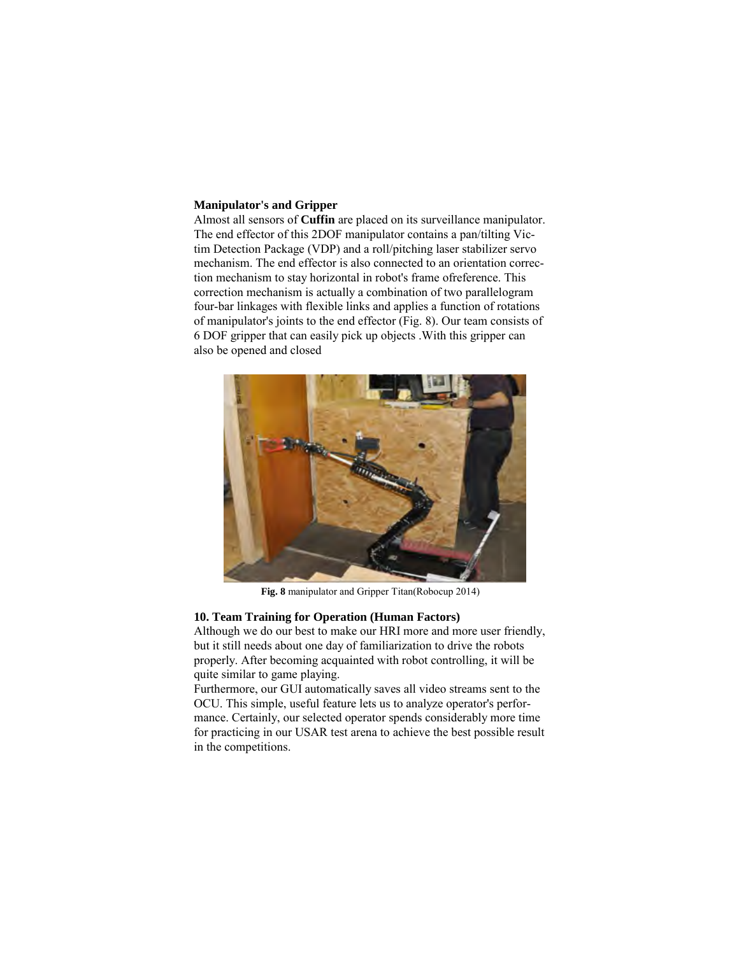## **Manipulator's and Gripper**

Almost all sensors of **Cuffin** are placed on its surveillance manipulator. The end effector of this 2DOF manipulator contains a pan/tilting Victim Detection Package (VDP) and a roll/pitching laser stabilizer servo mechanism. The end effector is also connected to an orientation correction mechanism to stay horizontal in robot's frame ofreference. This correction mechanism is actually a combination of two parallelogram four-bar linkages with flexible links and applies a function of rotations of manipulator's joints to the end effector (Fig. 8). Our team consists of 6 DOF gripper that can easily pick up objects .With this gripper can also be opened and closed



**Fig. 8** manipulator and Gripper Titan(Robocup 2014)

#### **10. Team Training for Operation (Human Factors)**

Although we do our best to make our HRI more and more user friendly, but it still needs about one day of familiarization to drive the robots properly. After becoming acquainted with robot controlling, it will be quite similar to game playing.

Furthermore, our GUI automatically saves all video streams sent to the OCU. This simple, useful feature lets us to analyze operator's performance. Certainly, our selected operator spends considerably more time for practicing in our USAR test arena to achieve the best possible result in the competitions.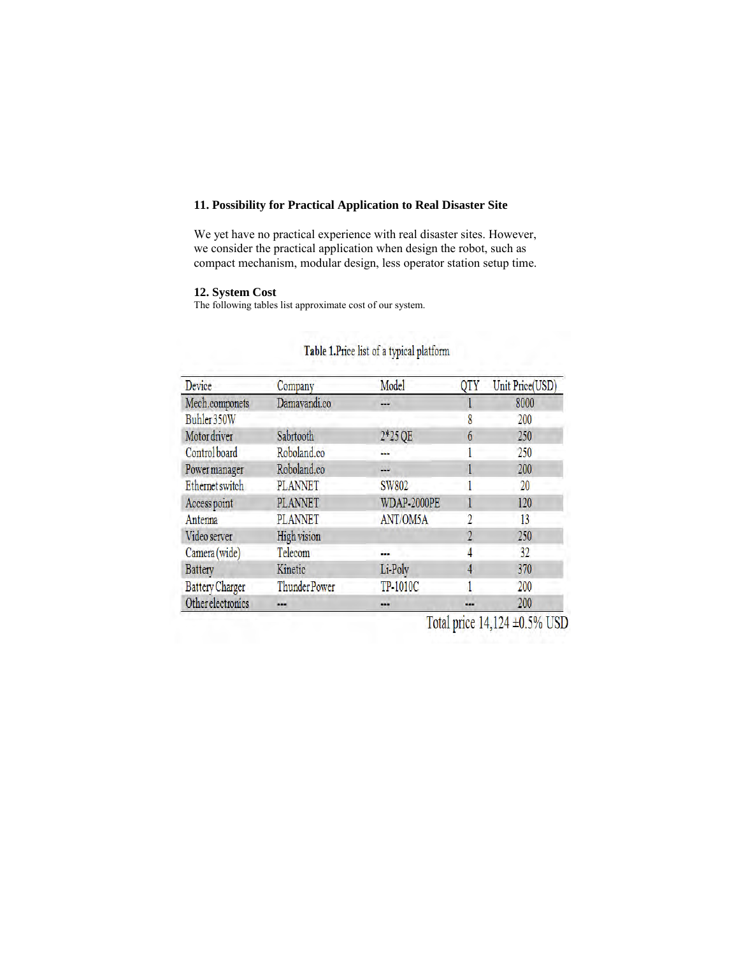# **11. Possibility for Practical Application to Real Disaster Site**

We yet have no practical experience with real disaster sites. However, we consider the practical application when design the robot, such as compact mechanism, modular design, less operator station setup time.

# **12. System Cost**

The following tables list approximate cost of our system.

| <b>Device</b>          | Company              | Model           | QTY | Unit Price(USD) |
|------------------------|----------------------|-----------------|-----|-----------------|
| Mech.componets         | Damavandi.co         | u.              |     | 8000            |
| Buhler 350W            |                      |                 | 8   | 200             |
| Motor driver           | Sabrtooth            | 2*25 QE         | 6   | 250             |
| Control board          | Roboland.co          | m.              |     | 250             |
| Power manager          | Roboland.co          | $\frac{1}{2}$   |     | 200             |
| Ethernet switch        | <b>PLANNET</b>       | SW802           |     | 20              |
| Access point           | <b>PLANNET</b>       | WDAP-2000PE     |     | 120             |
| Antenna                | <b>PLANNET</b>       | <b>ANT/OM5A</b> | 2   | 13              |
| Video server           | <b>High vision</b>   |                 |     | 250             |
| Camera (wide)          | Telecom              | a.              | 4   | 32              |
| <b>Battery</b>         | Kinetic              | Li-Poly         | 4   | 370             |
| <b>Battery Charger</b> | <b>Thunder Power</b> | TP-1010C        |     | 200             |
| Other electronics      |                      |                 |     | 200             |

# Table 1.Price list of a typical platform

Total price 14,124 ±0.5% USD